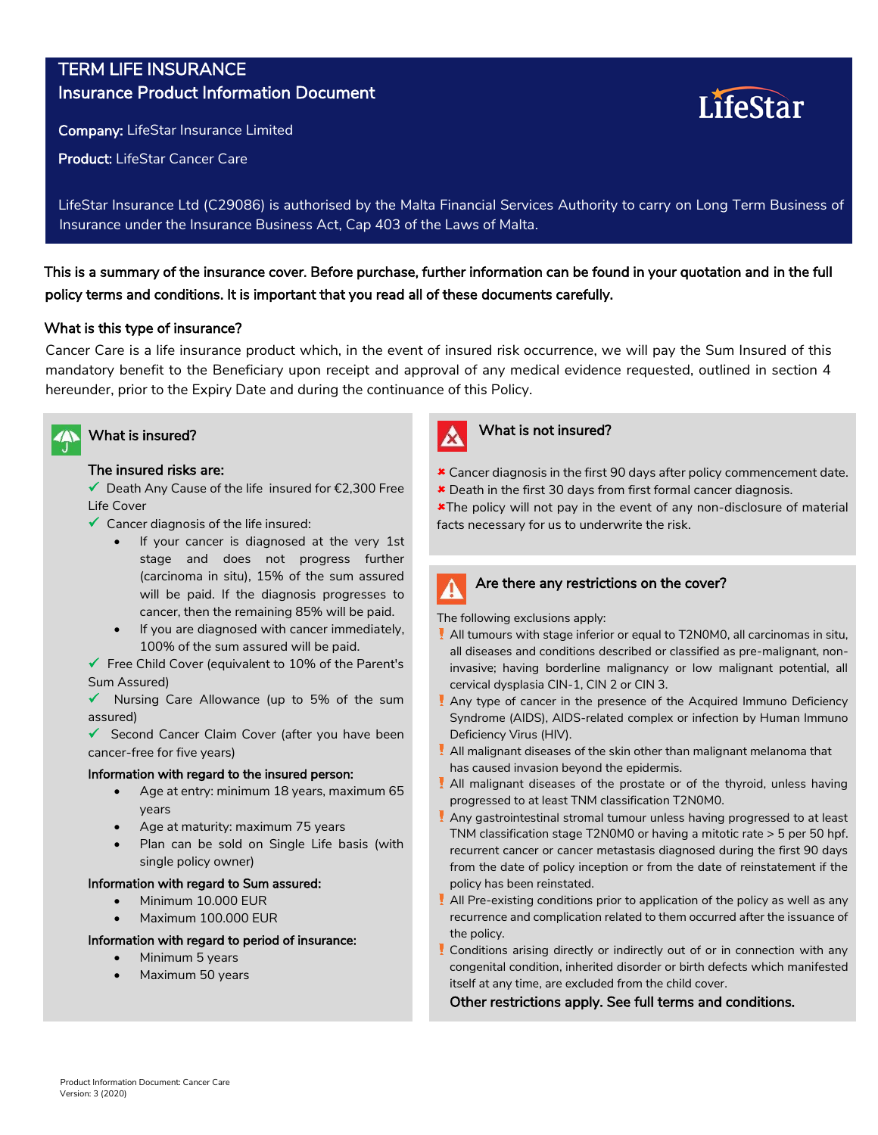# TERM LIFE INSURANCE Insurance Product Information Document

Company: LifeStar Insurance Limited

Product: LifeStar Cancer Care

LifeStar Insurance Ltd (C29086) is authorised by the Malta Financial Services Authority to carry on Long Term Business of Insurance under the Insurance Business Act, Cap 403 of the Laws of Malta.

This is a summary of the insurance cover. Before purchase, further information can be found in your quotation and in the full policy terms and conditions. It is important that you read all of these documents carefully.

## What is this type of insurance?

Cancer Care is a life insurance product which, in the event of insured risk occurrence, we will pay the Sum Insured of this mandatory benefit to the Beneficiary upon receipt and approval of any medical evidence requested, outlined in section 4 hereunder, prior to the Expiry Date and during the continuance of this Policy.



## The insured risks are:

 Death Any Cause of the life insured for €2,300 Free Life Cover

- $\checkmark$  Cancer diagnosis of the life insured:
	- If your cancer is diagnosed at the very 1st stage and does not progress further (carcinoma in situ), 15% of the sum assured will be paid. If the diagnosis progresses to cancer, then the remaining 85% will be paid.
	- If you are diagnosed with cancer immediately, 100% of the sum assured will be paid.

 $\checkmark$  Free Child Cover (equivalent to 10% of the Parent's Sum Assured)

 $\sqrt{\phantom{a}}$  Nursing Care Allowance (up to 5% of the sum assured)

 $\checkmark$  Second Cancer Claim Cover (after you have been cancer-free for five years)

### Information with regard to the insured person:

- Age at entry: minimum 18 years, maximum 65 years
- Age at maturity: maximum 75 years
- Plan can be sold on Single Life basis (with single policy owner)

## Information with regard to Sum assured:

- Minimum 10.000 EUR
- Maximum 100.000 EUR

### Information with regard to period of insurance:

- Minimum 5 years
- Maximum 50 years



# What is insured? What is not insured?

Cancer diagnosis in the first 90 days after policy commencement date.

LîfeStar

Death in the first 30 days from first formal cancer diagnosis.

**\*The policy will not pay in the event of any non-disclosure of material** facts necessary for us to underwrite the risk.



## Are there any restrictions on the cover?

The following exclusions apply:

- All tumours with stage inferior or equal to T2N0M0, all carcinomas in situ, all diseases and conditions described or classified as pre-malignant, noninvasive; having borderline malignancy or low malignant potential, all cervical dysplasia CIN-1, CIN 2 or CIN 3.
- Any type of cancer in the presence of the Acquired Immuno Deficiency Syndrome (AIDS), AIDS-related complex or infection by Human Immuno Deficiency Virus (HIV).
- All malignant diseases of the skin other than malignant melanoma that has caused invasion beyond the epidermis.
- All malignant diseases of the prostate or of the thyroid, unless having<br>All malignant diseases of the prostate or of the thyroid, unless having progressed to at least TNM classification T2N0M0.
- Any gastrointestinal stromal tumour unless having progressed to at least<br>Third is a strong production of the strong progressed to at least **Incapacitate temporară de muncă ca urmare a oricărui**  recurrent cancer or cancer metastasis diagnosed during the first 90 days from the date of policy inception or from the date of reinstatement if the relianched to the least stinate of po<br>nalisy has been rejectated TNM classification stage T2N0M0 or having a mitotic rate > 5 per 50 hpf. policy has been reinstated.
- **Intervenții chirurgicale produse după 60 de zile de la data**  recurrence and complication related to them occurred after the issuance of the policy.<br>**the policy**. All Pre-existing conditions prior to application of the policy as well as any
- **Fracturi patologice** congenital condition, inherited disorder or birth defects which manifested Conditions arising directly or indirectly out of or in connection with any itself at any time, are excluded from the child cover.

**Arsuri de gradul I** Other restrictions apply. See full terms and conditions.